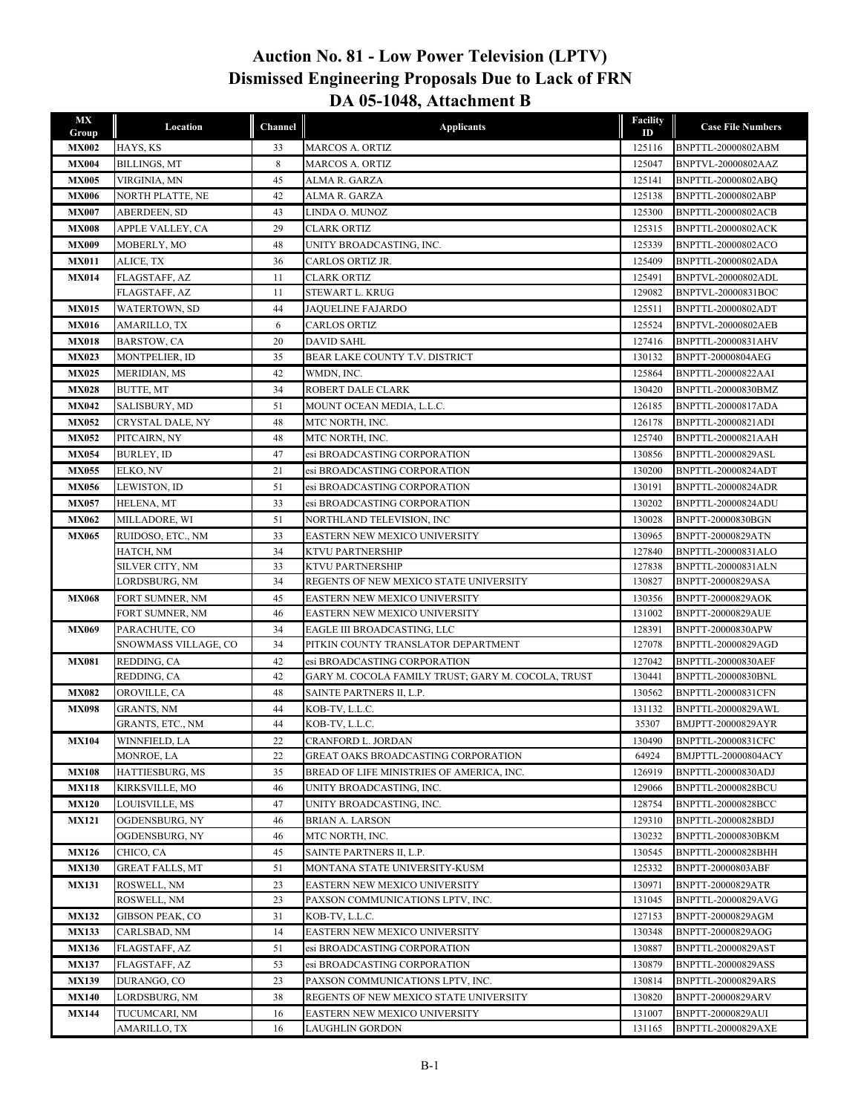## **DA 05-1048, Attachment B Dismissed Engineering Proposals Due to Lack of FRN Auction No. 81 - Low Power Television (LPTV)**

| МX<br>Group  | Location                           | Channel  | <b>Applicants</b>                                              | <b>Facility</b><br>ID | <b>Case File Numbers</b>                      |
|--------------|------------------------------------|----------|----------------------------------------------------------------|-----------------------|-----------------------------------------------|
| <b>MX002</b> | HAYS, KS                           | 33       | <b>MARCOS A. ORTIZ</b>                                         | 125116                | BNPTTL-20000802ABM                            |
| <b>MX004</b> | BILLINGS, MT                       | 8        | <b>MARCOS A. ORTIZ</b>                                         | 125047                | BNPTVL-20000802AAZ                            |
| <b>MX005</b> | VIRGINIA, MN                       | 45       | ALMA R. GARZA                                                  | 125141                | BNPTTL-20000802ABQ                            |
| <b>MX006</b> | <b>NORTH PLATTE, NE</b>            | 42       | ALMA R. GARZA                                                  | 125138                | BNPTTL-20000802ABP                            |
| <b>MX007</b> | ABERDEEN, SD                       | 43       | LINDA O. MUNOZ                                                 | 125300                | BNPTTL-20000802ACB                            |
| <b>MX008</b> | APPLE VALLEY, CA                   | 29       | <b>CLARK ORTIZ</b>                                             | 125315                | <b>BNPTTL-20000802ACK</b>                     |
| <b>MX009</b> | MOBERLY, MO                        | 48       | UNITY BROADCASTING, INC.                                       | 125339                | BNPTTL-20000802ACO                            |
| <b>MX011</b> | ALICE, TX                          | 36       | CARLOS ORTIZ JR.                                               | 125409                | BNPTTL-20000802ADA                            |
| <b>MX014</b> | FLAGSTAFF, AZ                      | 11       | <b>CLARK ORTIZ</b>                                             | 125491                | BNPTVL-20000802ADL                            |
|              | FLAGSTAFF, AZ                      | 11       | STEWART L. KRUG                                                | 129082                | BNPTVL-20000831BOC                            |
| <b>MX015</b> | WATERTOWN, SD                      | 44       | <b>JAQUELINE FAJARDO</b>                                       | 125511                | BNPTTL-20000802ADT                            |
| <b>MX016</b> | AMARILLO, TX                       | 6        | <b>CARLOS ORTIZ</b>                                            | 125524                | <b>BNPTVL-20000802AEB</b>                     |
| <b>MX018</b> | <b>BARSTOW, CA</b>                 | 20       | <b>DAVID SAHL</b>                                              | 127416                | BNPTTL-20000831AHV                            |
| <b>MX023</b> | MONTPELIER, ID                     | 35       | BEAR LAKE COUNTY T.V. DISTRICT                                 | 130132                | BNPTT-20000804AEG                             |
| <b>MX025</b> | MERIDIAN, MS                       | 42       | WMDN, INC.                                                     | 125864                | BNPTTL-20000822AAI                            |
| <b>MX028</b> | <b>BUTTE, MT</b>                   | 34       | ROBERT DALE CLARK                                              | 130420                | BNPTTL-20000830BMZ                            |
| <b>MX042</b> | SALISBURY, MD                      | 51       | MOUNT OCEAN MEDIA, L.L.C.                                      | 126185                | BNPTTL-20000817ADA                            |
| <b>MX052</b> | CRYSTAL DALE, NY                   | 48       | MTC NORTH, INC.                                                | 126178                | BNPTTL-20000821ADI                            |
| <b>MX052</b> | PITCAIRN, NY                       | 48       | MTC NORTH, INC.                                                | 125740                | BNPTTL-20000821AAH                            |
| <b>MX054</b> | <b>BURLEY, ID</b>                  | 47       | esi BROADCASTING CORPORATION                                   | 130856                | BNPTTL-20000829ASL                            |
| <b>MX055</b> | ELKO, NV                           | 21       | esi BROADCASTING CORPORATION                                   | 130200                | BNPTTL-20000824ADT                            |
| <b>MX056</b> | LEWISTON, ID                       | 51       | esi BROADCASTING CORPORATION                                   | 130191                | BNPTTL-20000824ADR                            |
| <b>MX057</b> | HELENA, MT                         | 33       | esi BROADCASTING CORPORATION                                   | 130202                | BNPTTL-20000824ADU                            |
| <b>MX062</b> | MILLADORE, WI                      | 51       | NORTHLAND TELEVISION, INC                                      | 130028                | BNPTT-20000830BGN                             |
| <b>MX065</b> | RUIDOSO, ETC., NM                  | 33       | EASTERN NEW MEXICO UNIVERSITY                                  | 130965                | BNPTT-20000829ATN                             |
|              | HATCH, NM                          | 34       | KTVU PARTNERSHIP                                               | 127840                | BNPTTL-20000831ALO                            |
|              | SILVER CITY, NM                    | 33<br>34 | KTVU PARTNERSHIP<br>REGENTS OF NEW MEXICO STATE UNIVERSITY     | 127838                | BNPTTL-20000831ALN                            |
|              | LORDSBURG, NM                      |          |                                                                | 130827                | BNPTT-20000829ASA                             |
| <b>MX068</b> | FORT SUMNER, NM<br>FORT SUMNER, NM | 45<br>46 | EASTERN NEW MEXICO UNIVERSITY<br>EASTERN NEW MEXICO UNIVERSITY | 130356<br>131002      | BNPTT-20000829AOK<br><b>BNPTT-20000829AUE</b> |
| <b>MX069</b> | PARACHUTE, CO                      | 34       | EAGLE III BROADCASTING, LLC                                    | 128391                | BNPTT-20000830APW                             |
|              | SNOWMASS VILLAGE, CO               | 34       | PITKIN COUNTY TRANSLATOR DEPARTMENT                            | 127078                | BNPTTL-20000829AGD                            |
| <b>MX081</b> | REDDING, CA                        | 42       | esi BROADCASTING CORPORATION                                   | 127042                | <b>BNPTTL-20000830AEF</b>                     |
|              | REDDING, CA                        | 42       | GARY M. COCOLA FAMILY TRUST; GARY M. COCOLA, TRUST             | 130441                | BNPTTL-20000830BNL                            |
| <b>MX082</b> | OROVILLE, CA                       | 48       | SAINTE PARTNERS II, L.P.                                       | 130562                | BNPTTL-20000831CFN                            |
| <b>MX098</b> | GRANTS, NM                         | 44       | KOB-TV, L.L.C.                                                 | 131132                | BNPTTL-20000829AWL                            |
|              | GRANTS, ETC., NM                   | 44       | KOB-TV, L.L.C.                                                 | 35307                 | BMJPTT-20000829AYR                            |
| <b>MX104</b> | <b>WINNFIELD, LA</b>               | 22       | CRANFORD L. JORDAN                                             | 130490                | BNPTTL-20000831CFC                            |
|              | MONROE, LA                         | 22       | <b>GREAT OAKS BROADCASTING CORPORATION</b>                     | 64924                 | BMJPTTL-20000804ACY                           |
| <b>MX108</b> | HATTIESBURG, MS                    | 35       | BREAD OF LIFE MINISTRIES OF AMERICA, INC.                      | 126919                | BNPTTL-20000830ADJ                            |
| <b>MX118</b> | KIRKSVILLE, MO                     | 46       | UNITY BROADCASTING, INC.                                       | 129066                | BNPTTL-20000828BCU                            |
| <b>MX120</b> | LOUISVILLE, MS                     | 47       | UNITY BROADCASTING, INC.                                       | 128754                | BNPTTL-20000828BCC                            |
| <b>MX121</b> | OGDENSBURG, NY                     | 46       | <b>BRIAN A. LARSON</b>                                         | 129310                | BNPTTL-20000828BDJ                            |
|              | OGDENSBURG, NY                     | 46       | MTC NORTH, INC.                                                | 130232                | BNPTTL-20000830BKM                            |
| <b>MX126</b> | CHICO, CA                          | 45       | SAINTE PARTNERS II, L.P.                                       | 130545                | BNPTTL-20000828BHH                            |
| <b>MX130</b> | <b>GREAT FALLS, MT</b>             | 51       | MONTANA STATE UNIVERSITY-KUSM                                  | 125332                | BNPTT-20000803ABF                             |
| <b>MX131</b> | ROSWELL, NM                        | 23       | EASTERN NEW MEXICO UNIVERSITY                                  | 130971                | BNPTT-20000829ATR                             |
|              | ROSWELL, NM                        | 23       | PAXSON COMMUNICATIONS LPTV, INC.                               | 131045                | BNPTTL-20000829AVG                            |
| <b>MX132</b> | GIBSON PEAK, CO                    | 31       | KOB-TV, L.L.C.                                                 | 127153                | BNPTT-20000829AGM                             |
| <b>MX133</b> | CARLSBAD, NM                       | 14       | EASTERN NEW MEXICO UNIVERSITY                                  | 130348                | BNPTT-20000829AOG                             |
| <b>MX136</b> | FLAGSTAFF, AZ                      | 51       | esi BROADCASTING CORPORATION                                   | 130887                | BNPTTL-20000829AST                            |
| <b>MX137</b> | FLAGSTAFF, AZ                      | 53       | esi BROADCASTING CORPORATION                                   | 130879                | BNPTTL-20000829ASS                            |
| <b>MX139</b> | DURANGO, CO                        | 23       | PAXSON COMMUNICATIONS LPTV, INC.                               | 130814                | BNPTTL-20000829ARS                            |
| <b>MX140</b> | LORDSBURG, NM                      | 38       | REGENTS OF NEW MEXICO STATE UNIVERSITY                         | 130820                | BNPTT-20000829ARV                             |
| <b>MX144</b> | TUCUMCARI, NM                      | 16       | EASTERN NEW MEXICO UNIVERSITY                                  | 131007                | BNPTT-20000829AUI                             |
|              | AMARILLO, TX                       | 16       | LAUGHLIN GORDON                                                | 131165                | BNPTTL-20000829AXE                            |